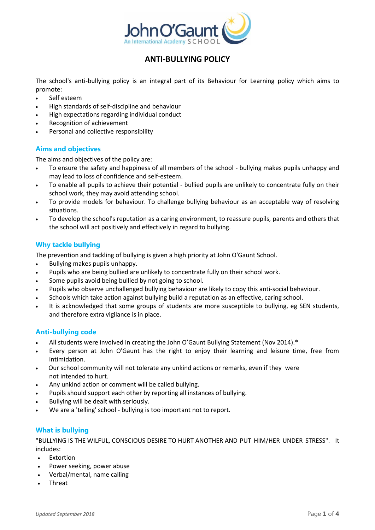

# **ANTI-BULLYING POLICY**

The school's anti-bullying policy is an integral part of its Behaviour for Learning policy which aims to promote:

- Self esteem
- High standards of self-discipline and behaviour
- High expectations regarding individual conduct
- Recognition of achievement
- Personal and collective responsibility

# **Aims and objectives**

The aims and objectives of the policy are:

- To ensure the safety and happiness of all members of the school bullying makes pupils unhappy and may lead to loss of confidence and self-esteem.
- To enable all pupils to achieve their potential bullied pupils are unlikely to concentrate fully on their school work, they may avoid attending school.
- To provide models for behaviour. To challenge bullying behaviour as an acceptable way of resolving situations.
- To develop the school's reputation as a caring environment, to reassure pupils, parents and others that the school will act positively and effectively in regard to bullying.

# **Why tackle bullying**

The prevention and tackling of bullying is given a high priority at John O'Gaunt School.

- Bullying makes pupils unhappy.
- Pupils who are being bullied are unlikely to concentrate fully on their school work.
- Some pupils avoid being bullied by not going to school.
- Pupils who observe unchallenged bullying behaviour are likely to copy this anti-social behaviour.
- Schools which take action against bullying build a reputation as an effective, caring school.
- It is acknowledged that some groups of students are more susceptible to bullying, eg SEN students, and therefore extra vigilance is in place.

# **Anti-bullying code**

- All students were involved in creating the John O'Gaunt Bullying Statement (Nov 2014).\*
- Every person at John O'Gaunt has the right to enjoy their learning and leisure time, free from intimidation.
- Our school community will not tolerate any unkind actions or remarks, even if they were not intended to hurt.
- Any unkind action or comment will be called bullying.
- Pupils should support each other by reporting all instances of bullying.
- Bullying will be dealt with seriously.
- We are a 'telling' school bullying is too important not to report.

# **What is bullying**

"BULLYING IS THE WILFUL, CONSCIOUS DESIRE TO HURT ANOTHER AND PUT HIM/HER UNDER STRESS". It includes:

- Extortion
- Power seeking, power abuse
- Verbal/mental, name calling
- Threat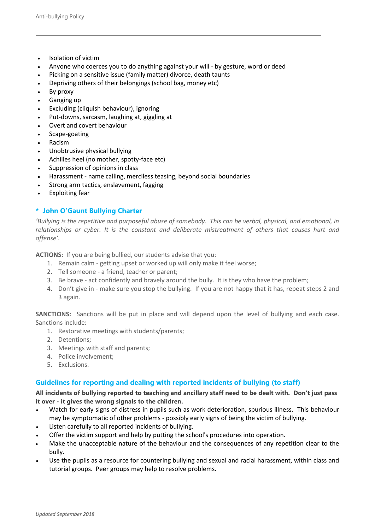- Isolation of victim
- Anyone who coerces you to do anything against your will by gesture, word or deed
- Picking on a sensitive issue (family matter) divorce, death taunts
- Depriving others of their belongings (school bag, money etc)
- By proxy
- Ganging up
- Excluding (cliquish behaviour), ignoring
- Put-downs, sarcasm, laughing at, giggling at
- Overt and covert behaviour
- Scape-goating
- Racism
- Unobtrusive physical bullying
- Achilles heel (no mother, spotty-face etc)
- Suppression of opinions in class
- Harassment name calling, merciless teasing, beyond social boundaries
- Strong arm tactics, enslavement, fagging
- Exploiting fear

### **\* John O'Gaunt Bullying Charter**

*'Bullying is the repetitive and purposeful abuse of somebody. This can be verbal, physical, and emotional, in relationships or cyber. It is the constant and deliberate mistreatment of others that causes hurt and offense'.*

**ACTIONS:** If you are being bullied, our students advise that you:

- 1. Remain calm getting upset or worked up will only make it feel worse;
- 2. Tell someone a friend, teacher or parent;
- 3. Be brave act confidently and bravely around the bully. It is they who have the problem;
- 4. Don't give in make sure you stop the bullying. If you are not happy that it has, repeat steps 2 and 3 again.

**SANCTIONS:** Sanctions will be put in place and will depend upon the level of bullying and each case. Sanctions include:

- 1. Restorative meetings with students/parents;
- 2. Detentions;
- 3. Meetings with staff and parents;
- 4. Police involvement;
- 5. Exclusions.

# **Guidelines for reporting and dealing with reported incidents of bullying (to staff)**

**All incidents of bullying reported to teaching and ancillary staff need to be dealt with. Don't just pass it over - it gives the wrong signals to the children.**

- Watch for early signs of distress in pupils such as work deterioration, spurious illness. This behaviour may be symptomatic of other problems - possibly early signs of being the victim of bullying.
- Listen carefully to all reported incidents of bullying.
- Offer the victim support and help by putting the school's procedures into operation.
- Make the unacceptable nature of the behaviour and the consequences of any repetition clear to the bully.
- Use the pupils as a resource for countering bullying and sexual and racial harassment, within class and tutorial groups. Peer groups may help to resolve problems.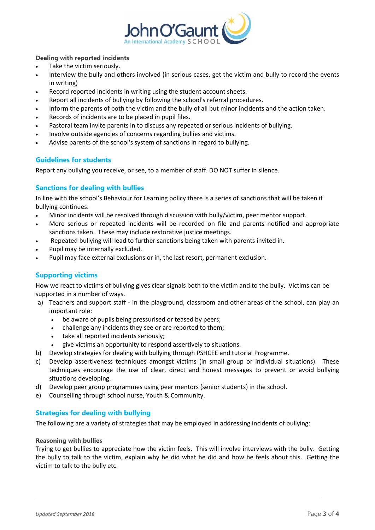

### **Dealing with reported incidents**

- Take the victim seriously.
- Interview the bully and others involved (in serious cases, get the victim and bully to record the events in writing)
- Record reported incidents in writing using the student account sheets.
- Report all incidents of bullying by following the school's referral procedures.
- Inform the parents of both the victim and the bully of all but minor incidents and the action taken.
- Records of incidents are to be placed in pupil files.
- Pastoral team invite parents in to discuss any repeated or serious incidents of bullying.
- Involve outside agencies of concerns regarding bullies and victims.
- Advise parents of the school's system of sanctions in regard to bullying.

# **Guidelines for students**

Report any bullying you receive, or see, to a member of staff. DO NOT suffer in silence.

# **Sanctions for dealing with bullies**

In line with the school's Behaviour for Learning policy there is a series of sanctions that will be taken if bullying continues.

- Minor incidents will be resolved through discussion with bully/victim, peer mentor support.
- More serious or repeated incidents will be recorded on file and parents notified and appropriate sanctions taken. These may include restorative justice meetings.
- Repeated bullying will lead to further sanctions being taken with parents invited in.
- Pupil may be internally excluded.
- Pupil may face external exclusions or in, the last resort, permanent exclusion.

# **Supporting victims**

How we react to victims of bullying gives clear signals both to the victim and to the bully. Victims can be supported in a number of ways.

- a) Teachers and support staff in the playground, classroom and other areas of the school, can play an important role:
	- be aware of pupils being pressurised or teased by peers;
	- challenge any incidents they see or are reported to them;
	- take all reported incidents seriously;
	- give victims an opportunity to respond assertively to situations.
- b) Develop strategies for dealing with bullying through PSHCEE and tutorial Programme.
- c) Develop assertiveness techniques amongst victims (in small group or individual situations). These techniques encourage the use of clear, direct and honest messages to prevent or avoid bullying situations developing.
- d) Develop peer group programmes using peer mentors (senior students) in the school.
- e) Counselling through school nurse, Youth & Community.

# **Strategies for dealing with bullying**

The following are a variety of strategies that may be employed in addressing incidents of bullying:

### **Reasoning with bullies**

Trying to get bullies to appreciate how the victim feels. This will involve interviews with the bully. Getting the bully to talk to the victim, explain why he did what he did and how he feels about this. Getting the victim to talk to the bully etc.